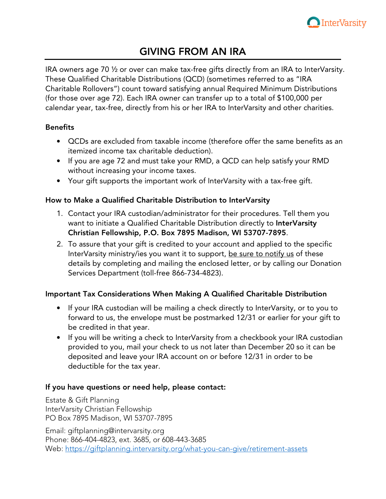

# GIVING FROM AN IRA

IRA owners age 70 ½ or over can make tax-free gifts directly from an IRA to InterVarsity. These Qualified Charitable Distributions (QCD) (sometimes referred to as "IRA Charitable Rollovers") count toward satisfying annual Required Minimum Distributions (for those over age 72). Each IRA owner can transfer up to a total of \$100,000 per calendar year, tax-free, directly from his or her IRA to InterVarsity and other charities.

## Benefits

- QCDs are excluded from taxable income (therefore offer the same benefits as an itemized income tax charitable deduction).
- If you are age 72 and must take your RMD, a QCD can help satisfy your RMD without increasing your income taxes.
- Your gift supports the important work of InterVarsity with a tax-free gift.

## How to Make a Qualified Charitable Distribution to InterVarsity

- 1. Contact your IRA custodian/administrator for their procedures. Tell them you want to initiate a Qualified Charitable Distribution directly to InterVarsity Christian Fellowship, P.O. Box 7895 Madison, WI 53707-7895.
- 2. To assure that your gift is credited to your account and applied to the specific InterVarsity ministry/ies you want it to support, be sure to notify us of these details by completing and mailing the enclosed letter, or by calling our Donation Services Department (toll-free 866-734-4823).

## Important Tax Considerations When Making A Qualified Charitable Distribution

- If your IRA custodian will be mailing a check directly to InterVarsity, or to you to forward to us, the envelope must be postmarked 12/31 or earlier for your gift to be credited in that year.
- If you will be writing a check to InterVarsity from a checkbook your IRA custodian provided to you, mail your check to us not later than December 20 so it can be deposited and leave your IRA account on or before 12/31 in order to be deductible for the tax year.

## If you have questions or need help, please contact:

Estate & Gift Planning InterVarsity Christian Fellowship PO Box 7895 Madison, WI 53707-7895

Email: giftplanning@intervarsity.org Phone: 866-404-4823, ext. 3685, or 608-443-3685 Web: https://giftplanning.intervarsity.org/what-you-can-give/retirement-assets